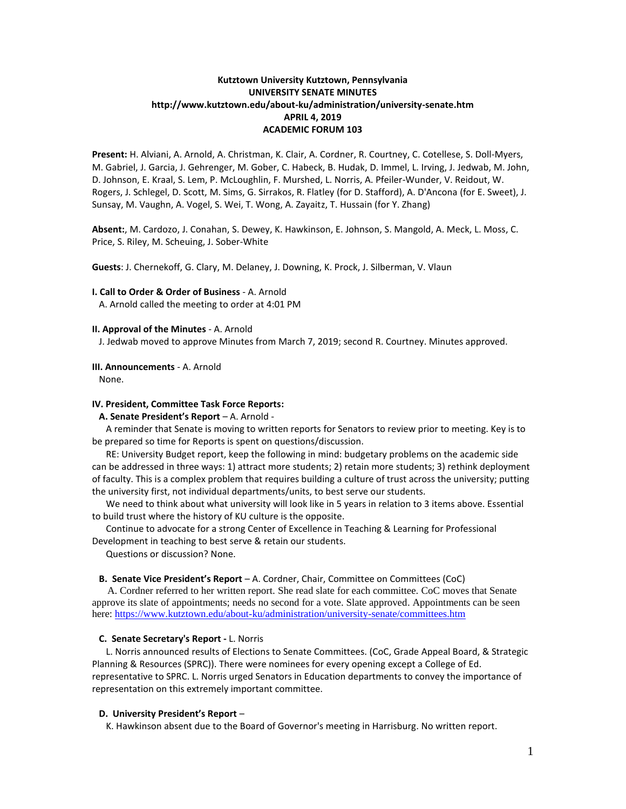# **Kutztown University Kutztown, Pennsylvania UNIVERSITY SENATE MINUTES http://www.kutztown.edu/about-ku/administration/university-senate.htm APRIL 4, 2019 ACADEMIC FORUM 103**

**Present:** H. Alviani, A. Arnold, A. Christman, K. Clair, A. Cordner, R. Courtney, C. Cotellese, S. Doll-Myers, M. Gabriel, J. Garcia, J. Gehrenger, M. Gober, C. Habeck, B. Hudak, D. Immel, L. Irving, J. Jedwab, M. John, D. Johnson, E. Kraal, S. Lem, P. McLoughlin, F. Murshed, L. Norris, A. Pfeiler-Wunder, V. Reidout, W. Rogers, J. Schlegel, D. Scott, M. Sims, G. Sirrakos, R. Flatley (for D. Stafford), A. D'Ancona (for E. Sweet), J. Sunsay, M. Vaughn, A. Vogel, S. Wei, T. Wong, A. Zayaitz, T. Hussain (for Y. Zhang)

**Absent:**, M. Cardozo, J. Conahan, S. Dewey, K. Hawkinson, E. Johnson, S. Mangold, A. Meck, L. Moss, C. Price, S. Riley, M. Scheuing, J. Sober-White

**Guests**: J. Chernekoff, G. Clary, M. Delaney, J. Downing, K. Prock, J. Silberman, V. Vlaun

## **I. Call to Order & Order of Business** - A. Arnold

A. Arnold called the meeting to order at 4:01 PM

## **II. Approval of the Minutes** - A. Arnold

J. Jedwab moved to approve Minutes from March 7, 2019; second R. Courtney. Minutes approved.

## **III. Announcements** - A. Arnold

None.

## **IV. President, Committee Task Force Reports:**

## **A. Senate President's Report** – A. Arnold -

 A reminder that Senate is moving to written reports for Senators to review prior to meeting. Key is to be prepared so time for Reports is spent on questions/discussion.

 RE: University Budget report, keep the following in mind: budgetary problems on the academic side can be addressed in three ways: 1) attract more students; 2) retain more students; 3) rethink deployment of faculty. This is a complex problem that requires building a culture of trust across the university; putting the university first, not individual departments/units, to best serve our students.

 We need to think about what university will look like in 5 years in relation to 3 items above. Essential to build trust where the history of KU culture is the opposite.

 Continue to advocate for a strong Center of Excellence in Teaching & Learning for Professional Development in teaching to best serve & retain our students.

Questions or discussion? None.

## **B. Senate Vice President's Report** – A. Cordner, Chair, Committee on Committees (CoC)

 A. Cordner referred to her written report. She read slate for each committee. CoC moves that Senate approve its slate of appointments; needs no second for a vote. Slate approved. Appointments can be seen here:<https://www.kutztown.edu/about-ku/administration/university-senate/committees.htm>

## **C. Senate Secretary's Report -** L. Norris

 L. Norris announced results of Elections to Senate Committees. (CoC, Grade Appeal Board, & Strategic Planning & Resources (SPRC)). There were nominees for every opening except a College of Ed. representative to SPRC. L. Norris urged Senators in Education departments to convey the importance of representation on this extremely important committee.

## **D. University President's Report** –

K. Hawkinson absent due to the Board of Governor's meeting in Harrisburg. No written report.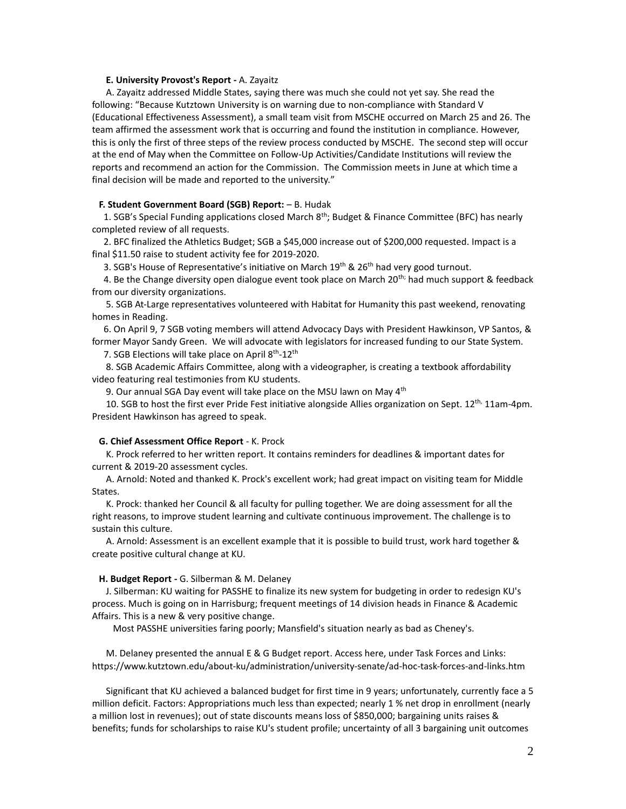#### **E. University Provost's Report -** A. Zayaitz

 A. Zayaitz addressed Middle States, saying there was much she could not yet say. She read the following: "Because Kutztown University is on warning due to non-compliance with Standard V (Educational Effectiveness Assessment), a small team visit from MSCHE occurred on March 25 and 26. The team affirmed the assessment work that is occurring and found the institution in compliance. However, this is only the first of three steps of the review process conducted by MSCHE. The second step will occur at the end of May when the Committee on Follow-Up Activities/Candidate Institutions will review the reports and recommend an action for the Commission. The Commission meets in June at which time a final decision will be made and reported to the university."

#### **F. Student Government Board (SGB) Report:** – B. Hudak

1. SGB's Special Funding applications closed March 8<sup>th</sup>; Budget & Finance Committee (BFC) has nearly completed review of all requests.

 2. BFC finalized the Athletics Budget; SGB a \$45,000 increase out of \$200,000 requested. Impact is a final \$11.50 raise to student activity fee for 2019-2020.

3. SGB's House of Representative's initiative on March  $19^{th}$  &  $26^{th}$  had very good turnout.

4. Be the Change diversity open dialogue event took place on March 20<sup>th;</sup> had much support & feedback from our diversity organizations.

 5. SGB At-Large representatives volunteered with Habitat for Humanity this past weekend, renovating homes in Reading.

 6. On April 9, 7 SGB voting members will attend Advocacy Days with President Hawkinson, VP Santos, & former Mayor Sandy Green. We will advocate with legislators for increased funding to our State System.

7. SGB Elections will take place on April  $8<sup>th</sup>$ -12<sup>th</sup>

 8. SGB Academic Affairs Committee, along with a videographer, is creating a textbook affordability video featuring real testimonies from KU students.

9. Our annual SGA Day event will take place on the MSU lawn on May 4<sup>th</sup>

10. SGB to host the first ever Pride Fest initiative alongside Allies organization on Sept.  $12^{th}$ ,  $11$ am-4pm. President Hawkinson has agreed to speak.

#### **G. Chief Assessment Office Report** - K. Prock

 K. Prock referred to her written report. It contains reminders for deadlines & important dates for current & 2019-20 assessment cycles.

 A. Arnold: Noted and thanked K. Prock's excellent work; had great impact on visiting team for Middle States.

 K. Prock: thanked her Council & all faculty for pulling together. We are doing assessment for all the right reasons, to improve student learning and cultivate continuous improvement. The challenge is to sustain this culture.

 A. Arnold: Assessment is an excellent example that it is possible to build trust, work hard together & create positive cultural change at KU.

### **H. Budget Report -** G. Silberman & M. Delaney

 J. Silberman: KU waiting for PASSHE to finalize its new system for budgeting in order to redesign KU's process. Much is going on in Harrisburg; frequent meetings of 14 division heads in Finance & Academic Affairs. This is a new & very positive change.

Most PASSHE universities faring poorly; Mansfield's situation nearly as bad as Cheney's.

 M. Delaney presented the annual E & G Budget report. Access here, under Task Forces and Links: https://www.kutztown.edu/about-ku/administration/university-senate/ad-hoc-task-forces-and-links.htm

 Significant that KU achieved a balanced budget for first time in 9 years; unfortunately, currently face a 5 million deficit. Factors: Appropriations much less than expected; nearly 1 % net drop in enrollment (nearly a million lost in revenues); out of state discounts means loss of \$850,000; bargaining units raises & benefits; funds for scholarships to raise KU's student profile; uncertainty of all 3 bargaining unit outcomes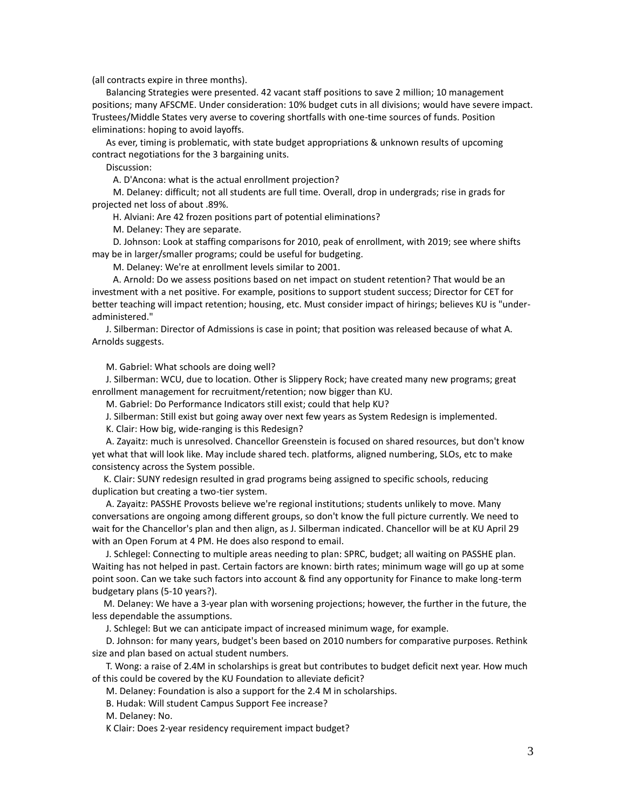(all contracts expire in three months).

 Balancing Strategies were presented. 42 vacant staff positions to save 2 million; 10 management positions; many AFSCME. Under consideration: 10% budget cuts in all divisions; would have severe impact. Trustees/Middle States very averse to covering shortfalls with one-time sources of funds. Position eliminations: hoping to avoid layoffs.

 As ever, timing is problematic, with state budget appropriations & unknown results of upcoming contract negotiations for the 3 bargaining units.

Discussion:

A. D'Ancona: what is the actual enrollment projection?

 M. Delaney: difficult; not all students are full time. Overall, drop in undergrads; rise in grads for projected net loss of about .89%.

H. Alviani: Are 42 frozen positions part of potential eliminations?

M. Delaney: They are separate.

 D. Johnson: Look at staffing comparisons for 2010, peak of enrollment, with 2019; see where shifts may be in larger/smaller programs; could be useful for budgeting.

M. Delaney: We're at enrollment levels similar to 2001.

 A. Arnold: Do we assess positions based on net impact on student retention? That would be an investment with a net positive. For example, positions to support student success; Director for CET for better teaching will impact retention; housing, etc. Must consider impact of hirings; believes KU is "underadministered."

 J. Silberman: Director of Admissions is case in point; that position was released because of what A. Arnolds suggests.

M. Gabriel: What schools are doing well?

 J. Silberman: WCU, due to location. Other is Slippery Rock; have created many new programs; great enrollment management for recruitment/retention; now bigger than KU.

M. Gabriel: Do Performance Indicators still exist; could that help KU?

J. Silberman: Still exist but going away over next few years as System Redesign is implemented.

K. Clair: How big, wide-ranging is this Redesign?

 A. Zayaitz: much is unresolved. Chancellor Greenstein is focused on shared resources, but don't know yet what that will look like. May include shared tech. platforms, aligned numbering, SLOs, etc to make consistency across the System possible.

 K. Clair: SUNY redesign resulted in grad programs being assigned to specific schools, reducing duplication but creating a two-tier system.

 A. Zayaitz: PASSHE Provosts believe we're regional institutions; students unlikely to move. Many conversations are ongoing among different groups, so don't know the full picture currently. We need to wait for the Chancellor's plan and then align, as J. Silberman indicated. Chancellor will be at KU April 29 with an Open Forum at 4 PM. He does also respond to email.

 J. Schlegel: Connecting to multiple areas needing to plan: SPRC, budget; all waiting on PASSHE plan. Waiting has not helped in past. Certain factors are known: birth rates; minimum wage will go up at some point soon. Can we take such factors into account & find any opportunity for Finance to make long-term budgetary plans (5-10 years?).

 M. Delaney: We have a 3-year plan with worsening projections; however, the further in the future, the less dependable the assumptions.

J. Schlegel: But we can anticipate impact of increased minimum wage, for example.

 D. Johnson: for many years, budget's been based on 2010 numbers for comparative purposes. Rethink size and plan based on actual student numbers.

 T. Wong: a raise of 2.4M in scholarships is great but contributes to budget deficit next year. How much of this could be covered by the KU Foundation to alleviate deficit?

M. Delaney: Foundation is also a support for the 2.4 M in scholarships.

B. Hudak: Will student Campus Support Fee increase?

M. Delaney: No.

K Clair: Does 2-year residency requirement impact budget?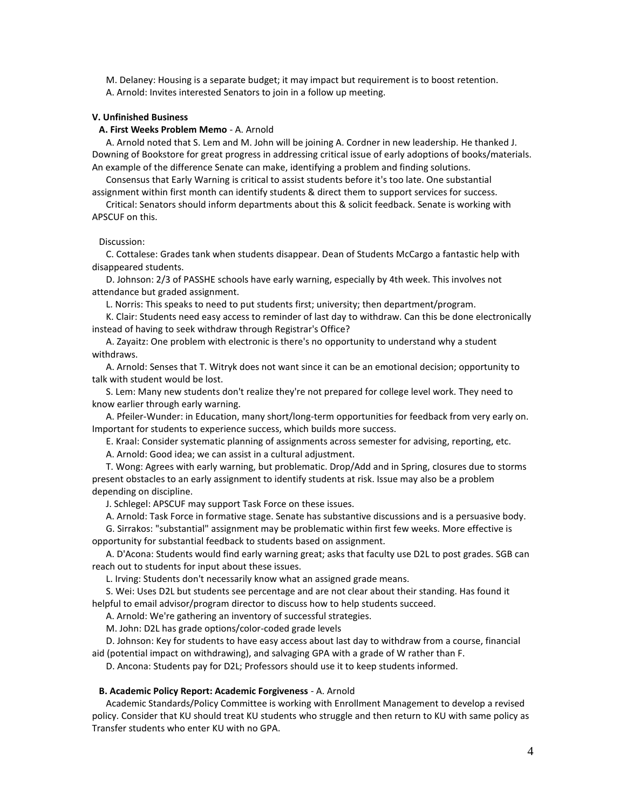M. Delaney: Housing is a separate budget; it may impact but requirement is to boost retention. A. Arnold: Invites interested Senators to join in a follow up meeting.

## **V. Unfinished Business**

### **A. First Weeks Problem Memo** - A. Arnold

 A. Arnold noted that S. Lem and M. John will be joining A. Cordner in new leadership. He thanked J. Downing of Bookstore for great progress in addressing critical issue of early adoptions of books/materials. An example of the difference Senate can make, identifying a problem and finding solutions.

 Consensus that Early Warning is critical to assist students before it's too late. One substantial assignment within first month can identify students & direct them to support services for success.

 Critical: Senators should inform departments about this & solicit feedback. Senate is working with APSCUF on this.

#### Discussion:

 C. Cottalese: Grades tank when students disappear. Dean of Students McCargo a fantastic help with disappeared students.

 D. Johnson: 2/3 of PASSHE schools have early warning, especially by 4th week. This involves not attendance but graded assignment.

L. Norris: This speaks to need to put students first; university; then department/program.

 K. Clair: Students need easy access to reminder of last day to withdraw. Can this be done electronically instead of having to seek withdraw through Registrar's Office?

 A. Zayaitz: One problem with electronic is there's no opportunity to understand why a student withdraws.

 A. Arnold: Senses that T. Witryk does not want since it can be an emotional decision; opportunity to talk with student would be lost.

 S. Lem: Many new students don't realize they're not prepared for college level work. They need to know earlier through early warning.

 A. Pfeiler-Wunder: in Education, many short/long-term opportunities for feedback from very early on. Important for students to experience success, which builds more success.

E. Kraal: Consider systematic planning of assignments across semester for advising, reporting, etc.

A. Arnold: Good idea; we can assist in a cultural adjustment.

 T. Wong: Agrees with early warning, but problematic. Drop/Add and in Spring, closures due to storms present obstacles to an early assignment to identify students at risk. Issue may also be a problem depending on discipline.

J. Schlegel: APSCUF may support Task Force on these issues.

A. Arnold: Task Force in formative stage. Senate has substantive discussions and is a persuasive body.

 G. Sirrakos: "substantial" assignment may be problematic within first few weeks. More effective is opportunity for substantial feedback to students based on assignment.

 A. D'Acona: Students would find early warning great; asks that faculty use D2L to post grades. SGB can reach out to students for input about these issues.

L. Irving: Students don't necessarily know what an assigned grade means.

 S. Wei: Uses D2L but students see percentage and are not clear about their standing. Has found it helpful to email advisor/program director to discuss how to help students succeed.

A. Arnold: We're gathering an inventory of successful strategies.

M. John: D2L has grade options/color-coded grade levels

 D. Johnson: Key for students to have easy access about last day to withdraw from a course, financial aid (potential impact on withdrawing), and salvaging GPA with a grade of W rather than F.

D. Ancona: Students pay for D2L; Professors should use it to keep students informed.

### **B. Academic Policy Report: Academic Forgiveness** - A. Arnold

 Academic Standards/Policy Committee is working with Enrollment Management to develop a revised policy. Consider that KU should treat KU students who struggle and then return to KU with same policy as Transfer students who enter KU with no GPA.